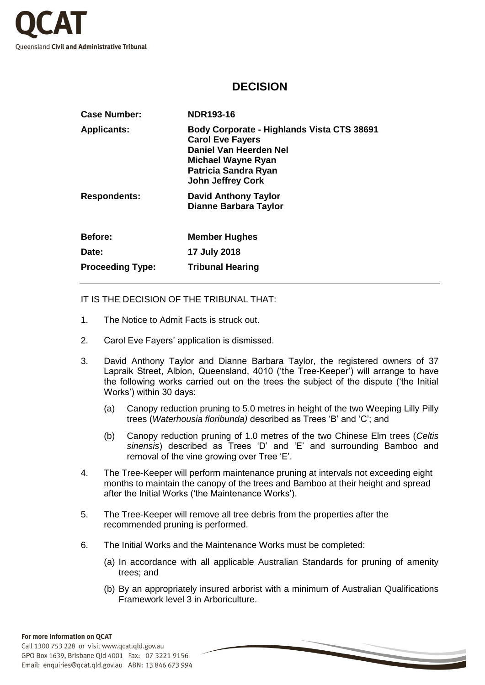

## **DECISION**

| <b>Case Number:</b>     | NDR193-16                                                                                                                                                                 |
|-------------------------|---------------------------------------------------------------------------------------------------------------------------------------------------------------------------|
| <b>Applicants:</b>      | Body Corporate - Highlands Vista CTS 38691<br><b>Carol Eve Fayers</b><br>Daniel Van Heerden Nel<br>Michael Wayne Ryan<br>Patricia Sandra Ryan<br><b>John Jeffrey Cork</b> |
| <b>Respondents:</b>     | <b>David Anthony Taylor</b><br>Dianne Barbara Taylor                                                                                                                      |
| <b>Before:</b>          | <b>Member Hughes</b>                                                                                                                                                      |
| Date:                   | 17 July 2018                                                                                                                                                              |
| <b>Proceeding Type:</b> | <b>Tribunal Hearing</b>                                                                                                                                                   |

IT IS THE DECISION OF THE TRIBUNAL THAT:

- 1. The Notice to Admit Facts is struck out.
- 2. Carol Eve Fayers' application is dismissed.
- 3. David Anthony Taylor and Dianne Barbara Taylor, the registered owners of 37 Lapraik Street, Albion, Queensland, 4010 ('the Tree-Keeper') will arrange to have the following works carried out on the trees the subject of the dispute ('the Initial Works') within 30 days:
	- (a) Canopy reduction pruning to 5.0 metres in height of the two Weeping Lilly Pilly trees (*Waterhousia floribunda)* described as Trees 'B' and 'C'; and
	- (b) Canopy reduction pruning of 1.0 metres of the two Chinese Elm trees (*Celtis sinensis*) described as Trees 'D' and 'E' and surrounding Bamboo and removal of the vine growing over Tree 'E'.
- 4. The Tree-Keeper will perform maintenance pruning at intervals not exceeding eight months to maintain the canopy of the trees and Bamboo at their height and spread after the Initial Works ('the Maintenance Works').
- 5. The Tree-Keeper will remove all tree debris from the properties after the recommended pruning is performed.
- 6. The Initial Works and the Maintenance Works must be completed:
	- (a) In accordance with all applicable Australian Standards for pruning of amenity trees; and
	- (b) By an appropriately insured arborist with a minimum of Australian Qualifications Framework level 3 in Arboriculture.